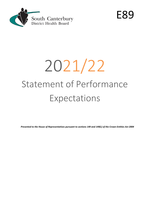

E89

# 2021/22 Statement of Performance Expectations

*Presented to the House of Representatives pursuant to sections 149 and 149(L) of the Crown Entities Act 2004*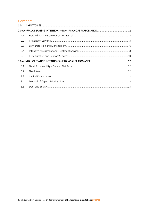# Contents

| 1.0 |  |
|-----|--|
|     |  |
| 2.1 |  |
| 2.2 |  |
| 2.3 |  |
| 2.4 |  |
| 2.5 |  |
|     |  |
| 3.1 |  |
| 3.2 |  |
| 3.3 |  |
| 3.4 |  |
| 3.5 |  |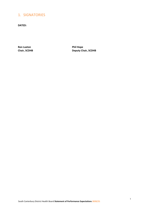# <span id="page-2-0"></span>1. SIGNATORIES

**DATED:**

**Ron Luxton Phil Hope**

**Chair, SCDHB Deputy Chair, SCDHB**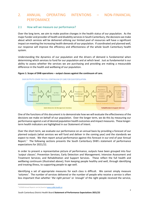# <span id="page-3-0"></span>2. ANNUAL OPERATING INTENTIONS – NON-FINANCIAL PERFOMANCE

# <span id="page-3-1"></span>2.1 How will we measure our performance?

Over the long term, we aim to make positive changes in the health status of our population. As the major funder and provider of health and disability services in South Canterbury, the decisions we make about which services will be delivered utilising our limited pool of resources will have a significant impact on meeting the increasing health demands of our population. If coordinated and planned well, our response will improve the efficiency and effectiveness of the whole South Canterbury health system.

Understanding the dynamics of our population and the drivers of demand is fundamental when determining which services to fund for our population and at which level. Just as fundamental is our ability to assess whether the services we are purchasing and providing are making a measurable difference in the health and wellbeing of our population.

# **Figure 1: Scope of DHB operations – output classes against the continuum of care.**

OUR OUTPUTS COVER THE FULL CONTINUUM OF CARE FOR OUR POPULATION.

term health indicators are highlighted in our Statement of Intent.



One of the functions of this document is to demonstrate how we will evaluate the effectiveness of the decisions we make on behalf of our population. Over the longer term, we do this by measuring our performance against a set of desired population health outcomes and impact measures. These longer-

Over the short term, we evaluate our performance on an annual basis by providing a forecast of our planned outputs (what services we will fund and deliver in the coming year) and the standards we expect to meet. We then report actual performance against this forecast in our end of year Annual Report.<sup>[1](#page-3-2)</sup> The following sections presents the South Canterbury DHB's statement of performance expectations for 2021/22.

In order to present a representative picture of performance, outputs have been grouped into four *'output classes'*; Prevention Services; Early Detection and Management; Intensive Assessment and Treatment Services; and Rehabilitation and Support Services. These reflect the full health and wellbeing continuum (illustrated above); from keeping people healthy and well, through identifying and treating illness, to supporting people to age well.

Identifying a set of appropriate measures for each class is difficult. We cannot simply measure *'volumes'*. The number of services delivered or the number of people who receive a service is often less important than whether *'the right person'* or *'enough'* of the right people received the service,

South Canterbury District Health Board **Statement of Performance Expectations 2021/22** 

<span id="page-3-2"></span>*<sup>1</sup> SCDHB Annual Reports can be found a[t www.scdhb.health.nz](http://www.scdhb.health.nz/)*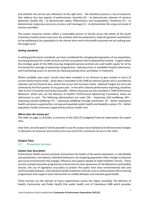and whether the service was delivered *'at the right time'*. We therefore present a mix of measures that address four key aspects of performance: Quantity  $(V)$  – to demonstrate volumes of services delivered; Quality  $(Q)$  – to demonstrate safety, effectiveness and acceptability; Timeliness (T) – to demonstrate responsive access to services; and Coverage (C) – to demonstrate the scope and scale of services provided.

The output measures chosen reflect a reasonable picture of activity across the whole of the South Canterbury health system and cover the activities with the potential to make the greatest contribution to the wellbeing of our population in the shorter term and to the health outcomes we are seeking over the longer term.

# *Setting standards*

In setting performance standards, we have considered the changing demographics of our population, increasing demand for health services and the assumption that funding will be limited. Targets reflect the strategic goals of the DHB ensuring integrated person-centred care and health equity for all by increasing the coverage of prevention programmes, reducing acute or avoidable hospital admissions, and maintaining access to services by reducing waiting times and delays in treatment.

Where available, past years' results have been included in our forecast to give context in terms of current performance levels. Some data is provided to the DHB by external parties and is provided by calendar and not financial year, where this occurs this has been noted. National Targets are set to be achieved by the final quarter of any given year. In line with national performance reporting, baselines refer to the 12 monthly result where possible. Where measures are also included in 'DHB Performance Measures' which sets out the Ministry of Health's Performance Monitoring Framework, these are referenced as such. The following abbreviations are used: CW – Improving child wellbeing, MH – Improving mental wellbeing, PV – Improving wellbeing through prevention, SS – Better population health outcomes supported by a strong and equitable public health and disability system, PH – Better population health outcomes supported by primary health care.

# *Where does the money go?*

The table on page 12 provides a summary of the 2021/22 budgeted financial expectations by output class.

Over time, we anticipate it will be possible to use this output class framework to demonstrate changes in allocation of resources and activity from one end of the continuum of care to the other.

# **Output Class**

# <span id="page-4-0"></span>2.2 Prevention Services

# *Output class description*

Preventative health services promote and protect the health of the whole population, or identifiable sub-populations, and address individual behaviours by targeting population-wide changes to physical and social environments that engage, influence and support people to make healthier choices. These services include education programmes and services to raise awareness of risk behaviours and healthy choices, the use of legislation and policy to protect the public from toxic environmental risks and communicable diseases, and individual health protection services such as immunisation and screening programmes that support early intervention to modify lifestyles and maintain good health.

These services are the domain of many organisations across the region including: The Ministry of Health; Community and Public Health (the public health unit of Canterbury DHB which provides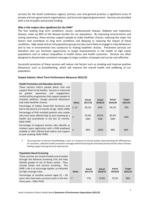services for the South Canterbury region); primary care and general practice; a significant array of private and non-government organisations; and local and regional government. Services are provided with a mix of public and private funding.

# *Why is this output class significant for the DHB?*

The four leading long term conditions, cancer, cardiovascular disease, diabetes and respiratory disease, make up 80% of the disease burden for our population. By improving environments and raising awareness, these services support people to make healthier choices, reducing the major risk factors that contribute to long term conditions and delaying or reducing the impact of these conditions. High needs and at-risk population groups are also more likely to engage in risky behaviours and to live in environments less conducive to making healthier choices. Prevention services are therefore also our foremost opportunity to target improvements in the health of high needs populations and to reduce inequalities in health status and health outcomes. Services are often designed to disseminate consistent messages to large numbers of people and can be cost-effective.

Successful provision of these services will reduce risk factors such as smoking and improve positive behaviours such as breastfeeding, which will improve the overall health and wellbeing of our population.

# **Output Subsets: Short Term Performance Measures 2021/22**

| <b>Health Promotion and Education Services</b><br>These services inform people about risks and<br>support them to be healthy. Success is measured<br>awareness and<br>bv<br>greater<br>engagement,<br>reinforced by programmes that support people to<br>maintain wellness, change personal behaviours<br>and make healthier choices. | <b>Notes</b>      | Actual<br>2017/18 | Actual<br>2018/19 | Actual<br>2019/20 | <b>Target</b><br>2021/22 |
|---------------------------------------------------------------------------------------------------------------------------------------------------------------------------------------------------------------------------------------------------------------------------------------------------------------------------------------|-------------------|-------------------|-------------------|-------------------|--------------------------|
| Percentage of babies breast-fed (exclusive and<br>full) in the district at 3 months of age. Refer CW06                                                                                                                                                                                                                                | C, Q <sup>1</sup> | 60.1%             | 63%               | 64.2%             | 70%                      |
| Percentage of PHO enrolled patients who smoke<br>who have been offered help to quit smoking by a<br>health care practitioner in the last 15 months.<br>Refer PH04                                                                                                                                                                     |                   | 92.6%<br>(Q4)     | 80.6%<br>(Q4)     | 82.6%<br>(Q4)     | 90%                      |
| Percentage of pregnant women who identify as<br>smokers upon registration with a DHB employed<br>midwife or LMC offered brief advice and support<br>to quit smoking. Refer PH04                                                                                                                                                       |                   | 89%               | 100%              | 98%               | 90%                      |

1 The proportion of women breastfeeding is seen as a measure of service quality, demonstrating the effectiveness of consistent, collective health promotion messages delivered during the antenatal period and the value of breast feeding support during the post-natal period.

| <b>Population Based Screening</b><br>These services are mostly funded and provided<br>through the National Screening Unit and help<br>identify people at risk of illness earlier. They<br>include breast and cervical screening.<br>The<br>DHB's role is to encourage uptake, as indicated<br>by high coverage rates. | <b>Notes</b> | Actual<br>2017/18 | Actual<br>2018/19 | Actual<br>2019/20 | <b>Target</b><br>2021/22 |
|-----------------------------------------------------------------------------------------------------------------------------------------------------------------------------------------------------------------------------------------------------------------------------------------------------------------------|--------------|-------------------|-------------------|-------------------|--------------------------|
| Percentage of enrolled women aged $25 - 69$<br>years who have had a cervical screen in the last $T^2$<br>three years. Refer PV02                                                                                                                                                                                      |              | 77%               | 73.8%             | 70.2%             | 80%                      |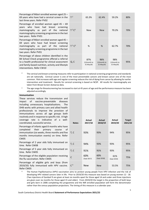| Percentage of Māori enrolled women aged 25 -<br>69 years who have had a cervical screen in the<br>last three years. Refer PV02                                                                                                        | $T^2$    | 65.3%                           | 62.4%                           | 59.2%                           | 80% |
|---------------------------------------------------------------------------------------------------------------------------------------------------------------------------------------------------------------------------------------|----------|---------------------------------|---------------------------------|---------------------------------|-----|
| Percentage of enrolled women aged $45 - 69$<br>who have had breast screening<br>years<br>mammography as part of the national<br>mammography screening programme in the last<br>two years. Refer PV01                                  | $T^2C^3$ | <b>New</b>                      | <b>New</b>                      | 70.2%                           | 70% |
| Percentage of Māori enrolled women aged 45 -<br>69 years who have had breast screening<br>mammography as part of the national<br>mammography screening programme in the last<br>two years. Refer PV01                                 | $T^2C^3$ | %                               | %                               | 62.7%                           | 70% |
| Percentage of obese children identified in the<br>B4 School Check programme offered a referral<br>to a health professional for clinical assessment<br>and family-based nutrition, activity and lifestyle<br>interventions. Refer CW10 | Q, C     | 87%<br>(12month to<br>31 May18) | 96%<br>(12month to<br>31 May19) | 98%<br>(12month to<br>31 May20) | 95% |

- <sup>2</sup> The cervical and breast screening measures refer to participation in national screening programmes and standards are set nationally. Cervical cancer is one of the most preventable cancers and breast cancer one of the most common. Risk increases with age and regular screening reduces the risk of dying from cancer by allowing for earlier intervention and treatment. Results for cervical screening is based on NCSP. All results for mammography are taken from Breast Screen Aotearoa data.
- The age range for Breastscreening has increased to start at 45 years of age and the performance measure has been adjusted accordingly.

| <b>Immunisation</b><br>These services reduce the transmission and<br>of vaccine-preventable<br>diseases<br>impact<br>including unnecessary hospitalisations. The<br>DHB works with primary care and allied health<br>professionals to improve the provision of<br>immunisations across all age groups both<br>routinely and in response to specific risk. A high<br>coverage rate is indicative of a well-<br>coordinated, successful service. | <b>Notes</b>   | Actual<br>2017/18  | Actual<br>2018/19  | Actual<br>2019/20  | <b>Target</b><br>2021/22 |
|------------------------------------------------------------------------------------------------------------------------------------------------------------------------------------------------------------------------------------------------------------------------------------------------------------------------------------------------------------------------------------------------------------------------------------------------|----------------|--------------------|--------------------|--------------------|--------------------------|
| Percentage of infants aged 8 months who have<br>completed<br>their<br>primary<br>course<br>of<br>immunisation (six weeks, three months and five<br>months immunisation events) on time. Refer<br><b>CW05</b>                                                                                                                                                                                                                                   | T.C            | 93%                | 93%                | 94%                | 95%                      |
| Percentage of 2 year olds fully immunised on<br>time. Refer CW08                                                                                                                                                                                                                                                                                                                                                                               | T, C           | 94%                | 93%                | 93%                | 95%                      |
| Percentage of 5 year olds fully immunised on<br>time. Refer CW05                                                                                                                                                                                                                                                                                                                                                                               | T, C           | 91%                | 91%                | 93%                | 95%                      |
| Percentage of the eligible population receiving<br>the flu vaccination. Refer CW05                                                                                                                                                                                                                                                                                                                                                             | $\overline{C}$ | 60%<br>(Sept 2017) | 60%<br>(Sept 2018) | 61%<br>(Sept 2019) | 75%                      |
| Percentage of eligible girls and boys (from<br>2019/20) fully immunised with HPV vaccine.<br>Refer CW05                                                                                                                                                                                                                                                                                                                                        | C <sup>4</sup> | <b>New</b>         | <b>New</b>         | 53.5%              | 75%                      |

<sup>4.</sup> The Human Papillomavirus (HPV) vaccination aims to protect young people from HPV infection and the risk of developing HPV related cancers later in life. Prior to 2019/20 this measure was based on young women 12 - 18. (Two injections of Gardasil 9 are given at least six months apart for those aged 14 and under and three injections are given over six months for those aged 15 and older). From 2019/20 the target is the proportion of both boys and girls born in 2006 completing the programme and the NIR enrolled population will form the denominator rather than the census population projections. The timing of this measure is a calendar year.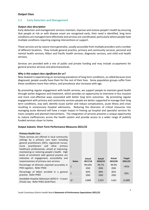# **Output Class**

# <span id="page-7-0"></span>2.3 Early Detection and Management

# *Output class description*

Early detection and management services maintain, improve and restore people's health by ensuring that people at risk or with disease onset are recognised early, their need is identified, long term conditions are managed more effectively and services are coordinated, particularly where people have multiple conditions requiring ongoing interventions or support.

These services are by nature more generalist, usually accessible from multiple providers and a number of different locations. They include general practice, primary and community services, personal and mental health services, Māori and Pacific health services, diagnostic services, and child oral health services.

Services are provided with a mix of public and private funding and may include co-payments for general practice services and pharmaceuticals.

# *Why is this output class significant for us?*

New Zealand is experiencing an increasing prevalence of long term conditions, so called because once diagnosed, people usually have them for the rest of their lives. Some population groups suffer from these conditions more than others, and prevalence also increases with age.

By promoting regular engagement with health services, we support people to maintain good health through earlier diagnosis and treatment, which provides an opportunity to intervene in less invasive and more cost-effective ways associated with better long term outcomes. By promoting regular engagement with primary and community services people are better supported to manage their long term conditions, stay well, identify issues earlier and reduce complications, acute illness and crises resulting in unnecessary hospital admissions. Reducing the diversion of critical resources into managing acute demand will have a major impact in freeing up hospital and specialist services for more complex and planned interventions. The integration of services presents a unique opportunity to reduce inefficiencies across the health system and provide access to a wider range of publicly funded services closer to home.

#### **Output Subsets: Short Term Performance Measures 2021/22**

# **Primary Health Care**

| <b>Notes</b>   | Actual<br>2017/18 | Actual<br>2018/19 | Actual<br>2019/20 | <b>Target</b><br>2021/22 |
|----------------|-------------------|-------------------|-------------------|--------------------------|
| C              | 99.64%<br>(Q4)    | 99.7%<br>(Q4)     | 99.9%<br>(Q4)     | >95%                     |
| C              | 83%<br>(Q4)       | 84%<br>(Q4)       | 82%<br>(Q4)       | 95%                      |
| Q <sup>1</sup> | 3,868             | 3,925             | 4,065             | ≤3,885                   |
|                |                   |                   |                   |                          |

the company of the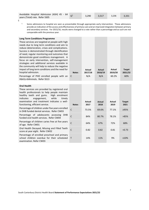| Avoidable Hospital Admission (ASH) 45 - 64 | 3.290 | 3.517 | 3.236 | 3.331 |
|--------------------------------------------|-------|-------|-------|-------|
| years (Total) rate. Refer SS05             |       |       |       |       |

5

<sup>1.</sup> Some admissions to hospital are seen as preventable through appropriate early intervention. These admissions provide an indication of the access and effectiveness of primary care and an improved integration between primary and secondary services. For 2015/16, results were changed to a rate rather than a percentage and as such are not comparable with the previous year.

#### **Long Term Conditions Programme**

These services are targeted at people with high needs due to long term conditions and aim to reduce deterioration, crises and complications. Success is demonstrated through identification of need, regular monitoring and outcomes that demonstrate good conditions management. A focus on early intervention, self-management strategies and additional services available in the community will help to reduce the negative impact of long term conditions and the need for hospital admission. **Notes**

Percentage of PHO enrolled people with an C HbA1c<64mmols. Refer SS13

#### **Oral Health**

| These services are provided by registered oral<br>health professionals to help people maintain<br>healthy teeth and gums. High enrolment<br>indicates<br>engagement, while<br>timely |              |                |                |                |                      |
|--------------------------------------------------------------------------------------------------------------------------------------------------------------------------------------|--------------|----------------|----------------|----------------|----------------------|
| examination and treatment indicates a well-<br>functioning, efficient service.                                                                                                       | <b>Notes</b> | Actual<br>2017 | Actual<br>2018 | Actual<br>2019 | <b>Targe</b><br>2021 |
| Percentage of children under five years enrolled<br>in DHB funded dental services. Refer CW03                                                                                        | $\mathsf{C}$ | 73.5%          | 69.6%          | 77.1%          | >95%                 |
| Percentage of adolescents accessing<br>DHB<br>funded oral health services. Refer CW04                                                                                                | $\mathsf{C}$ | 84%            | 80.7%          | 78.1%          | >85%                 |
| Percentage of children caries free at five years<br>of age. Refer CW01                                                                                                               | $\mathsf{C}$ | 64%            | 67%            | 72%            | 68%                  |
| Oral Health Decayed, Missing and Filled Teeth<br>score at year eight. Refer CW02                                                                                                     | $\mathsf{C}$ | 0.82           | 0.82           | 0.81           | < 0.73               |
| Percentage of enrolled preschool and primary<br>school children overdue for their scheduled<br>examination. Refer CW03                                                               | $\mathsf{T}$ | 14%            | 11%            | 9%             | ≤10%                 |

| Oral Health<br>These services are provided by registered oral<br>health professionals to help people maintain<br>healthy teeth and gums.<br>High enrolment<br>indicates<br>timely<br>engagement,<br>while<br>examination and treatment indicates a well-<br>functioning, efficient service. | <b>Notes</b> | Actual<br>2017 | <b>Actual</b><br>2018 | Actual<br>2019 | <b>Target</b><br>2021 |
|---------------------------------------------------------------------------------------------------------------------------------------------------------------------------------------------------------------------------------------------------------------------------------------------|--------------|----------------|-----------------------|----------------|-----------------------|
| Percentage of children under five years enrolled<br>in DHB funded dental services. Refer CW03                                                                                                                                                                                               | C            | 73.5%          | 69.6%                 | 77.1%          | >95%                  |
| Percentage of adolescents accessing DHB<br>funded oral health services. Refer CW04                                                                                                                                                                                                          | C            | 84%            | 80.7%                 | 78.1%          | >85%                  |
| Percentage of children caries free at five years<br>of age. Refer CW01                                                                                                                                                                                                                      | C            | 64%            | 67%                   | 72%            | 68%                   |
| Oral Health Decayed, Missing and Filled Teeth<br>score at year eight. Refer CW02                                                                                                                                                                                                            | C            | 0.82           | 0.82                  | 0.81           | < 0.73                |
| Percentage of enrolled preschool and primary<br>school children overdue for their scheduled<br>$\sim$                                                                                                                                                                                       | т            | 14%            | 11%                   | 9%             | ≤10%                  |

**Actual 2018/19**

C N/A N/A 60.2% 60%

**Actual 2019/20**

**Target 2021/22**

**Actual 2017/18**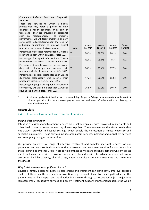| Community Referred Tests and Diagnostic<br><b>Services</b><br>services to which a<br>These are<br>health<br>professional may refer a person to help<br>diagnose a health condition, or as part of<br>They are provided by personnel<br>treatment.<br>such<br>radiographers.<br>improve<br>To<br>as.<br>performance, we will target improved primary<br>care access to diagnostics without the need for<br>a hospital appointment to improve clinical<br>referral processes and decision making. | <b>Notes</b> | Actual<br>2017/18 | Actual<br>2018/19 | Actual<br>2019/20 | <b>Target</b><br>2021/22 |
|-------------------------------------------------------------------------------------------------------------------------------------------------------------------------------------------------------------------------------------------------------------------------------------------------------------------------------------------------------------------------------------------------------------------------------------------------------------------------------------------------|--------------|-------------------|-------------------|-------------------|--------------------------|
| Percentage of accepted referrals for a MRI scan<br>receive their scan within six weeks. Refer SS07                                                                                                                                                                                                                                                                                                                                                                                              | T            | 98.3%             | 98.3%             | 88.1%             | 90%                      |
| Percentage of accepted referrals for a CT scan<br>receive their scan within six weeks. Refer SS07                                                                                                                                                                                                                                                                                                                                                                                               | T            | 96.1%             | 98.1%             | 91%               | 95%                      |
| Percentage of people accepted for an urgent<br>diagnostic colonoscopy who receive their<br>procedure within 14 calendar days. Refer SS15                                                                                                                                                                                                                                                                                                                                                        | $T^3$        | 96.2%             | 95.4%             | 97.7%             | 90%                      |
| Percentage of people accepted for a non-urgent<br>diagnostic colonoscopy who receive their<br>procedure within six weeks. Refer SS15                                                                                                                                                                                                                                                                                                                                                            | $T^2$        | 47.2%             | 50.9%             | 85.6%             | 70%                      |
| Percentage of people waiting for a surveillance<br>colonoscopy will wait no longer than 12 weeks<br>beyond the planned date. Refer SS15                                                                                                                                                                                                                                                                                                                                                         | $T^3$        | 76.5%             | 61.9%             | 90.4%             | 70%                      |

<sup>2.</sup> A colonoscopy is a test that looks at the inner lining of a person's large intestine (rectum and colon). A colonoscopy helps find ulcers, colon polyps, tumours, and areas of inflammation or bleeding to determine treatment

# **Output Class**

#### <span id="page-9-0"></span>2.4 Intensive Assessment and Treatment Services

#### *Output class description*

Intensive assessment and treatment services are usually complex services provided by specialists and other health care professionals working closely together. These services are therefore usually (but not always) provided in hospital settings, which enable the co-location of clinical expertise and specialist equipment. These services include ambulatory services, inpatient and outpatient services and emergency or urgent care services.

We provide an extensive range of intensive treatment and complex specialist services for our population and we also fund some intensive assessment and treatment services for our population that are provided by other DHBs. A proportion of these services are driven by demand which we must meet, such as acute services. However, others are planned services for which provision and access are determined by capacity, clinical triage, national service coverage agreements and treatment thresholds.

#### *Why is this output class significant for us?*

Equitable, timely access to intensive assessment and treatment can significantly improve people's quality of life either through early intervention (e.g. removal of an obstructed gallbladder so the patient does not have repeat attacks of abdominal pain) or through corrective action (e.g. major joint replacements). Responsive services and timely treatment support improvements across the whole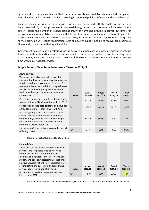system and give people confidence that complex intervention is available when needed. People are then able to establish more stable lives, resulting in improved public confidence in the health system.

As an owner and provider of these services, we are also concerned with the quality of the services being provided. Quality improvement in service delivery, systems and processes will improve patient safety, reduce the number of events causing injury or harm and provide improved outcomes for people in our services. Adverse events and delays in treatment, as well as causing harm to patients, drive unnecessary costs and redirect resources away from other services. Appropriate and quality service provision will reduce readmission rates and better support people to recover from complex illness and / or maximise their quality of life.

Government has set clear expectations for the delivery planned care volumes, a reduction in waiting times for treatments and increased clinical leadership to improve the quality of care. In meeting these expectations, we are introducing innovative clinically led service delivery models and reducing waiting time within our hospital services.

# **Output Subsets: Short Term Performance Measures 2021/22**

| <b>Acute Services</b><br>These are medical or surgical services for<br>illnesses that have an abrupt onset or progress<br>rapidly creating an urgent need for care. For<br>more complex acute conditions, hospital-based<br>services include emergency services, acute<br>medical and surgical services and intensive<br>care services | <b>Notes</b>   | Actual<br>2017/18 | Actual<br>2018/19 | Actual<br>2019/20 | <b>Target</b><br>2021/22 |
|----------------------------------------------------------------------------------------------------------------------------------------------------------------------------------------------------------------------------------------------------------------------------------------------------------------------------------------|----------------|-------------------|-------------------|-------------------|--------------------------|
| Percentage of patients admitted, discharged or<br>transferred from ED within 6 hours. Refer SS10                                                                                                                                                                                                                                       | Т              | 97.1%             | 96.6%             | 87.1%             | 95%                      |
| Standardised acute hospital stays bed days per<br>1,000 population. - Refer PH01 (SLM Plan)                                                                                                                                                                                                                                            | $\vee$         | 374.5             | 441.9             | 401.7             | < 401                    |
| Percentage of patients who receive their first<br>cancer treatment (or other management)<br>within 62 days of being referred with a high<br>suspicion of cancer and a need to be seen<br>within two weeks. Refer SS11                                                                                                                  | Т              | 85.3%             | 88.6%             | 69%               | 85%                      |
| Percentage of older patients assessed as at risk<br>of falling. QSM                                                                                                                                                                                                                                                                    | Q <sup>1</sup> | 97%               | 95%               | 97%               | 95%                      |

<sup>1.</sup> This is a NZ Health Quality and Safety Marker.

| <b>Planned Care</b>                                                    |              |            |            |         |               |
|------------------------------------------------------------------------|--------------|------------|------------|---------|---------------|
| These are services (which incorporate elective                         |              |            |            |         |               |
| services) are for people who do not need                               |              |            |            |         |               |
| immediate hospital treatment and are                                   |              |            |            |         |               |
| 'booked' or 'arranged' services. This includes                         |              |            |            |         |               |
| surgery and specialist assessments. National                           |              |            |            |         |               |
| Elective Services Patient Flow Indicators (ESPIs)                      |              |            |            |         |               |
| are indicative of a successful and responsive                          |              | Actual     | Actual     | Actual  | <b>Target</b> |
| service, addressing population need.                                   | <b>Notes</b> | 2017/18    | 2018/19    | 2019/20 | 2021/22       |
| No. inpatient surgical discharges (planned care<br>interventions).SS07 | $Q^2$        | <b>NEW</b> | <b>NEW</b> | 2,773   | <b>TBA</b>    |

<sup>2.</sup> The definition for this measure has been revised again in 2019. As such it is not comparable with previous years.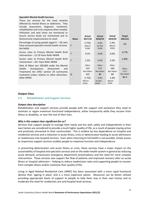| <b>Specialist Mental Health Services</b>                                                                                                                                                 |              |                                  |                                 |                                 |                             |
|------------------------------------------------------------------------------------------------------------------------------------------------------------------------------------------|--------------|----------------------------------|---------------------------------|---------------------------------|-----------------------------|
| These are services for the most severely<br>affected by mental illness or addictions. They                                                                                               |              |                                  |                                 |                                 |                             |
| include assessment, diagnosis, treatment,<br>rehabilitation and crisis response when needed.                                                                                             |              |                                  |                                 |                                 |                             |
| Utilisation and wait times are monitored to<br>ensure service levels are maintained and to<br>demonstrate responsiveness to need.                                                        | <b>Notes</b> | Actual<br>2017/18                | Actual<br>2018/19               | Actual<br>2019/20               | <b>Target</b><br>2021/22    |
| Percentage of young people (aged $0 - 19$ ) who<br>have accessed specialist mental health services.<br>Ref MH01                                                                          | C            | 5.75%<br>(March<br>2018)         | 5.9%<br>(to Mar<br>2019)        | 5.9%<br>(March<br>2020)         | 5%                          |
| Access rates to Primary Mental Health Brief<br>Intervention - 12-19 Years Refer MH04                                                                                                     | T            | 4.5%                             | 4.6%                            | 6.0%                            | 4.7%                        |
| Access rates to Primary Mental Health Brief<br>Intervention - 20+ Years Refer MH04                                                                                                       | т            | 2.5%                             | 3.5%                            | 2.5%                            | 2.8%                        |
| Rate of Māori per 100,000 under the Mental<br>Health<br>(Compulsory<br>Assessment<br>and<br>Treatment) Act 1992: section 29 community<br>treatment orders relative to other ethnicities. | Q            | Māori<br>133<br>Non-Maori<br>102 | Māori<br>171<br>Non-Maori<br>86 | Māori<br>160<br>Non-Maori<br>89 | Māori<br>173.7<br>Non-Māori |
| Refer MH05                                                                                                                                                                               |              | 5.75%<br>(March<br>2018)         | 5.9%<br>(to Mar<br>2019)        | 5.9%<br>(March<br>2020)         | 86.4                        |

# **Output Class**

# <span id="page-11-0"></span>2.5 Rehabilitation and Support Services

#### *Output class description*

Rehabilitation and support services provide people with the support and assistance they need to maintain or regain maximum functional independence, either temporarily while they recover from illness or disability, or over the rest of their lives.

#### *Why is this output class significant for us?*

Services that support people to manage their needs and live well, safely and independently in their own homes are considered to provide a much higher quality of life, as a result of people staying active and positively connected to their communities. This is evident by less dependence on hospital and residential services and a reduction in acute illness, crisis or deterioration leading to acute admissions or readmission into hospital services. Even when returning to full health is not possible, timely access to responsive support services enables people to maximise function and independence.

In preventing deterioration and acute illness or crisis, these services have a major impact on the sustainability of hospital and specialist services and on the wider health system in general by reducing acute demand, unnecessary emergency department presentations and the need for more complex intervention. These services also support the flow of patients and improved recovery after an acute illness or hospital admission – helping to reduce readmission rates and supporting people to recover from complex illness and/or maximise their quality of life.

Living in Aged Related Residential Care (ARRC) has been associated with a more rapid functional decline than 'ageing in place' and is a more expensive option. Resources can be better utilised providing appropriate levels of support to people to help them stay in their own homes and to moderate the need for residential care and hospital level services.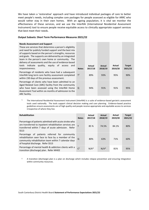We have taken a 'restorative' approach and have introduced individual packages of care to better meet people's needs, including complex care packages for people assessed as eligible for ARRC who would rather stay in their own homes. With an ageing population, it is vital we monitor the effectiveness of these services, and we use the InterRAI (International Residential Assessment Instrument) tool to ensure people receive equitable access to clinically appropriate support services that best meet their needs.

#### **Output Subsets: Short Term Performance Measures 2021/22**

#### **Needs Assessment and Support**

These are services that determine a person's eligibility and need for publicly funded support and the best mix of supports based on the person's strengths, resources and goals. The supports are delivered by an integrated team in the person's own home or community. The delivery of assessments and the use of evidence-based tools indicate quality, equity of access and responsiveness.

Percentage of residents who have had a subsequent InterRAI long term care facility assessment completed within 230 days of the previous assessment.

Percentage of clients who have been admitted to an Aged Related Care (ARC) facility from the community who have been assessed using the InterRAI Home Assessment Tool within six months of admission to the ARC facility.

| <b>Notes</b>   | Actual<br>2017/18 | <b>Actual</b><br>2018/19 | Actual<br>2019/20 | <b>Target</b><br>2021/22 |
|----------------|-------------------|--------------------------|-------------------|--------------------------|
| T <sup>1</sup> | 89%               | 93%                      | 95%               | 90%                      |
| Q              | 94%               | 91%                      | 91%               | 95%                      |

<sup>1.</sup> The International Residential Assessment Instrument (InterRAI) is a suite of evidence-based geriatric assessment tools used nationally. The tools support clinical decision making and care planning. Evidence-based practice guidelines ensure assessments are of high quality and people receive appropriate and equitable access to services irrespective of where they live.

| <b>Rehabilitation</b>                                                                                                                                                                             | <b>Notes</b>   | Actual<br>2017/18 | <b>Actual</b><br>2018/19 | Actual<br>2019/20 | <b>Target</b><br>2021/22 |
|---------------------------------------------------------------------------------------------------------------------------------------------------------------------------------------------------|----------------|-------------------|--------------------------|-------------------|--------------------------|
| Percentage of patients admitted with acute stroke who<br>are transferred to inpatient rehabilitation services are<br>transferred within 7 days of acute admission. Refer<br>SS <sub>13</sub>      |                | 85 %              | 74.5%                    | 84.1%             | 80%                      |
| Percentage of patients referred for community<br>rehabilitation seen face to face by a member of the<br>community rehabilitation team within 7 calendar days<br>of hospital discharge. Refer SS13 | Q              | 80%               | 63%                      | 71%               | 60%                      |
| Percentage of mental health & addiction clients with a<br>transition (discharge) plan. Refer MH02                                                                                                 | C <sup>2</sup> | $N/A^*$           | $N/A^*$                  | 81%               | 95%                      |

<sup>2.</sup> A transition (discharge) plan is a plan on discharge which includes relapse prevention and ensuring integration within community resources.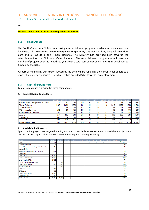# <span id="page-13-0"></span>3. ANNUAL OPERATING INTENTIONS – FINANCIAL PERFOMANCE

# <span id="page-13-1"></span>3.1 Fiscal Sustainability - Planned Net Results

#### **TBC**

**Financial tables to be inserted following Ministry approval**

# <span id="page-13-2"></span>**3.2 Fixed Assets**

The South Canterbury DHB is undertaking a refurbishment programme which includes some new buildings, this programme covers emergency, outpatients, day stay services, hospital reception, Café and all Wards in the Timaru Hospital. The Ministry has provided \$2m towards the refurbishment of the Child and Maternity Ward. The refurbishment programme will involve a number of projects over the next three years with a total cost of approximately \$25m, which will be funded by the DHB.

As part of minimising our carbon footprint, the DHB will be replacing the current coal boilers to a more efficient energy source. The Ministry has provided \$4m towards this replacement.

# <span id="page-13-3"></span>**3.3 Capital Expenditure**

Capital expenditure is provided in three components:

#### **1. General Capital Expenditure**

| \$000s                                     | 2021/22 | 2022/23 | 2023/24 | 2024/25 | 2025/26 | 2026/27 | 2027/28 | 2028/29 | 2029/30 | 2030/31 | Total  |
|--------------------------------------------|---------|---------|---------|---------|---------|---------|---------|---------|---------|---------|--------|
| Buildings, Plant & Equipment excl Clinical | 239     | 250     | 250     | 250     | 255     | 260     | 265     | 271     | 276     | 282     | 2.598  |
| <b>Clinical Equipment</b>                  | .855    | .561    | .,561   | 1.430   | 1.459   | 1.488   | .518    | .548    | .579    | 1.610   | 15,608 |
| Other Equipments                           | 270     | 267     | 275     | 275     | 281     | 286     | 292     | 298     | 304     | 310     | 2,856  |
| IT/IS - devices/hardware                   | 205     | 151     | 155     | 155     | 158     | 161     | 164     | 168     | 171     | 175     | 1.663  |
| Intangible Assets (Software)               | 140     | 140     | 144     | 144     | 147     | 150     | 153     | 156     | 159     | 162     | i,495  |
| Vehicles                                   | 274     | 208     | 214     | 214     | 218     | 223     | 227     | 232     | 236     | 241     | 2,287  |
| Contingency                                | 400     | 312     | 321     | 321     | 327     | 334     | 341     | 347     | 354     | 361     | 3,419  |
| Minor capital                              | 225     | 181     | 186     | 186     | 190     | 194     | 197     | 201     | 205     | 209     | 1.975  |
| <b>Total Baseline Capex</b>                | 3.608   | 3.070   | 3.106   | 2.975   | 3,035   | 3.095   | 3,157   | 3.220   | 3,285   | 3,350   | 31.901 |

#### **2. Special Capital Projects**

Special capital projects are targeted funding which is not available for redistribution should these projects not proceed. Explicit approval for each of these items is required before proceeding.

| \$000s                                         | 2021/22 | 2022/23 | 2023/24 | 2024/25 | 2025/26 | 2026/27 | 2027/28 | 2028/29                  | 2029/30 | 2030/31 | <b>Total</b> |
|------------------------------------------------|---------|---------|---------|---------|---------|---------|---------|--------------------------|---------|---------|--------------|
| <b>Boilers</b>                                 | 3,721   | ۰       | ٠       | ۰       | ٠       | ۰       | ۰       | $\overline{\phantom{a}}$ |         |         | 3,721        |
| <b>Theatre Ventiliation</b>                    | 325     |         |         |         |         |         |         |                          |         |         | 325          |
| Stores/Maintenance Building (Old Boiler House) | 716     |         |         |         |         |         |         |                          |         |         | 716          |
| Morque Chiller                                 |         |         |         |         |         |         |         |                          |         |         | ÷            |
| New Café/Outpatients/Front Entrance            | 351     |         |         |         |         |         |         |                          |         |         | 351          |
| Café Fitout                                    |         |         |         |         |         |         |         |                          |         |         |              |
| Level 1 AT&R                                   | 5.100   |         |         |         |         |         |         |                          |         |         | 5,100        |
| Level 2 Maternity/Paeds                        | 2,832   |         |         |         |         |         |         |                          |         |         | 2,832        |
| Level 3 Medical Fllor                          | 3.750   |         |         |         |         |         |         |                          |         |         | 3,750        |
| Level 4 Theatre/ Day Patients                  | ٠       | 900     |         |         |         |         |         |                          |         |         | 900          |
| Level 5 Surgical Fllor                         | 1.500   | 2.000   |         |         |         |         |         |                          |         |         | 3,500        |
| <b>AT&amp;R Outpatients</b>                    |         | 3,000   |         |         |         |         |         |                          |         |         | 3,000        |
| Lift Replacement                               | 600     |         |         |         |         |         |         |                          |         |         | 600          |
| <b>CT Scanner</b>                              | 1,700   |         |         |         |         |         |         |                          |         |         | 1,700        |
| <b>Endoscopy Upgrade</b>                       | 2.000   |         |         |         |         |         |         |                          |         |         | 2,000        |
| <b>Talbot Upgrade</b>                          | 300     |         |         |         |         |         |         |                          |         |         | 300          |
| <b>Total Special</b>                           | 22,895  | 5,900   |         |         | ٠       |         |         |                          | ٠       | ٠       | 28,795       |